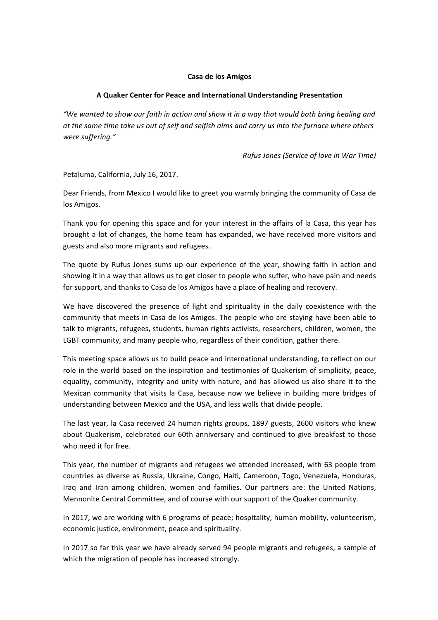## **Casa de los Amigos**

## **A Quaker Center for Peace and International Understanding Presentation**

"We wanted to show our faith in action and show it in a way that would both bring healing and at the same time take us out of self and selfish aims and carry us into the furnace where others *were suffering."*

*Rufus Jones (Service of love in War Time)*

Petaluma, California, July 16, 2017.

Dear Friends, from Mexico I would like to greet you warmly bringing the community of Casa de los Amigos.

Thank you for opening this space and for your interest in the affairs of la Casa, this year has brought a lot of changes, the home team has expanded, we have received more visitors and guests and also more migrants and refugees.

The quote by Rufus Jones sums up our experience of the year, showing faith in action and showing it in a way that allows us to get closer to people who suffer, who have pain and needs for support, and thanks to Casa de los Amigos have a place of healing and recovery.

We have discovered the presence of light and spirituality in the daily coexistence with the community that meets in Casa de los Amigos. The people who are staying have been able to talk to migrants, refugees, students, human rights activists, researchers, children, women, the LGBT community, and many people who, regardless of their condition, gather there.

This meeting space allows us to build peace and international understanding, to reflect on our role in the world based on the inspiration and testimonies of Quakerism of simplicity, peace, equality, community, integrity and unity with nature, and has allowed us also share it to the Mexican community that visits la Casa, because now we believe in building more bridges of understanding between Mexico and the USA, and less walls that divide people.

The last year, la Casa received 24 human rights groups, 1897 guests, 2600 visitors who knew about Quakerism, celebrated our 60th anniversary and continued to give breakfast to those who need it for free.

This year, the number of migrants and refugees we attended increased, with 63 people from countries as diverse as Russia, Ukraine, Congo, Haiti, Cameroon, Togo, Venezuela, Honduras, Iraq and Iran among children, women and families. Our partners are: the United Nations, Mennonite Central Committee, and of course with our support of the Quaker community.

In 2017, we are working with 6 programs of peace; hospitality, human mobility, volunteerism, economic justice, environment, peace and spirituality.

In 2017 so far this year we have already served 94 people migrants and refugees, a sample of which the migration of people has increased strongly.